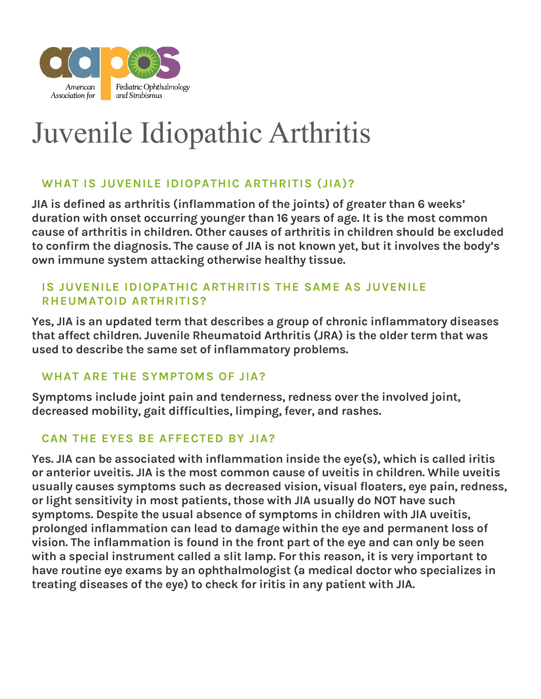

# Juvenile Idiopathic Arthritis

# **WHAT IS JUVENILE IDIOPATHIC ARTHRITIS (JIA)?**

JIA is defined as arthritis (inflammation of the joints) of greater than 6 weeks' duration with onset occurring younger than 16 years of age. It is the most common cause of arthritis in children. Other causes of arthritis in children should be excluded to confirm the diagnosis. The cause of JIA is not known yet, but it involves the body's own immune system attacking otherwise healthy tissue.

### **IS JUVENILE IDIOPATHIC ARTHRITIS THE SAME AS JUVENILE RHEUMATOID ARTHRITIS?**

Yes, JIA is an updated term that describes a group of chronic inflammatory diseases that affect children. Juvenile Rheumatoid Arthritis (JRA) is the older term that was used to describe the same set of inflammatory problems.

# **WHAT ARE THE SYMPTOMS OF JIA?**

Symptoms include joint pain and tenderness, redness over the involved joint, decreased mobility, gait difficulties, limping, fever, and rashes.

# **CAN THE EYES BE AFFECTED BY JIA?**

Yes. JIA can be associated with inflammation inside the eye(s), which is called iritis or anterior uveitis. JIA is the most common cause of uveitis in children. While uveitis usually causes symptoms such as decreased vision, visual floaters, eye pain, redness, or light sensitivity in most patients, those with JIA usually do NOT have such symptoms. Despite the usual absence of symptoms in children with JIA uveitis, prolonged inflammation can lead to damage within the eye and permanent loss of vision. The inflammation is found in the front part of the eye and can only be seen with a special instrument called a slit lamp. For this reason, it is very important to have routine eye exams by an ophthalmologist (a medical doctor who specializes in treating diseases of the eye) to check for iritis in any patient with JIA.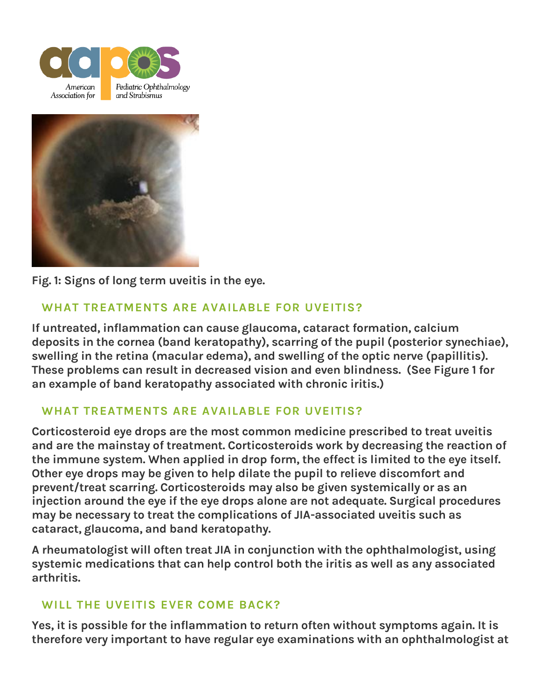



**Fig. 1:** Signs of long term uveitis in the eye.

# **WHAT TREATMENTS ARE AVAILABLE FOR UVEITIS?**

If untreated, inflammation can cause glaucoma, cataract formation, calcium deposits in the cornea (band keratopathy), scarring of the pupil (posterior synechiae), swelling in the retina (macular edema), and swelling of the optic nerve (papillitis). These problems can result in decreased vision and even blindness. (See Figure 1 for an example of band keratopathy associated with chronic iritis.)

# **WHAT TREATMENTS ARE AVAILABLE FOR UVEITIS?**

Corticosteroid eye drops are the most common medicine prescribed to treat uveitis and are the mainstay of treatment. Corticosteroids work by decreasing the reaction of the immune system. When applied in drop form, the effect is limited to the eye itself. Other eye drops may be given to help dilate the pupil to relieve discomfort and prevent/treat scarring. Corticosteroids may also be given systemically or as an injection around the eye if the eye drops alone are not adequate. Surgical procedures may be necessary to treat the complications of JIA-associated uveitis such as cataract, glaucoma, and band keratopathy.

A rheumatologist will often treat JIA in conjunction with the ophthalmologist, using systemic medications that can help control both the iritis as well as any associated arthritis.

# **WILL THE UVEITIS EVER COME BACK?**

Yes, it is possible for the inflammation to return often without symptoms again. It is therefore very important to have regular eye examinations with an ophthalmologist at